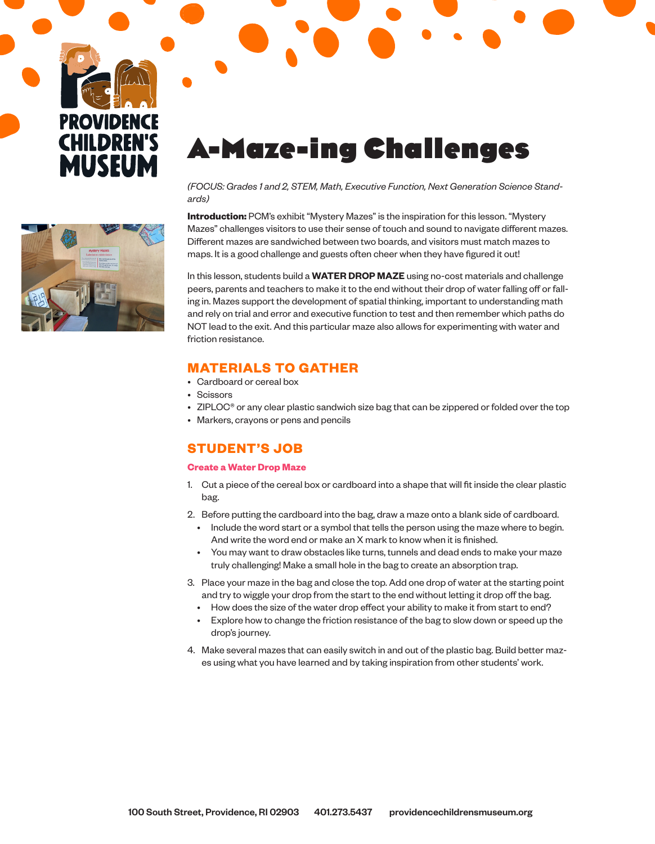



# A-Maze-ing Challenges

### *(FOCUS: Grades 1 and 2, STEM, Math, Executive Function, Next Generation Science Standards)*

**Introduction:** PCM's exhibit "Mystery Mazes" is the inspiration for this lesson. "Mystery Mazes" challenges visitors to use their sense of touch and sound to navigate different mazes. Different mazes are sandwiched between two boards, and visitors must match mazes to maps. It is a good challenge and guests often cheer when they have figured it out!

In this lesson, students build a **WATER DROP MAZE** using no-cost materials and challenge peers, parents and teachers to make it to the end without their drop of water falling off or falling in. Mazes support the development of spatial thinking, important to understanding math and rely on trial and error and executive function to test and then remember which paths do NOT lead to the exit. And this particular maze also allows for experimenting with water and friction resistance.

## **MATERIALS TO GATHER**

- Cardboard or cereal box
- Scissors
- ZIPLOC® or any clear plastic sandwich size bag that can be zippered or folded over the top
- Markers, crayons or pens and pencils

# **STUDENT'S JOB**

#### **Create a Water Drop Maze**

- 1. Cut a piece of the cereal box or cardboard into a shape that will fit inside the clear plastic bag.
- 2. Before putting the cardboard into the bag, draw a maze onto a blank side of cardboard.
	- Include the word start or a symbol that tells the person using the maze where to begin. And write the word end or make an X mark to know when it is finished.
	- You may want to draw obstacles like turns, tunnels and dead ends to make your maze truly challenging! Make a small hole in the bag to create an absorption trap.
- 3. Place your maze in the bag and close the top. Add one drop of water at the starting point and try to wiggle your drop from the start to the end without letting it drop off the bag.
	- How does the size of the water drop effect your ability to make it from start to end?
	- Explore how to change the friction resistance of the bag to slow down or speed up the drop's journey.
- 4. Make several mazes that can easily switch in and out of the plastic bag. Build better mazes using what you have learned and by taking inspiration from other students' work.